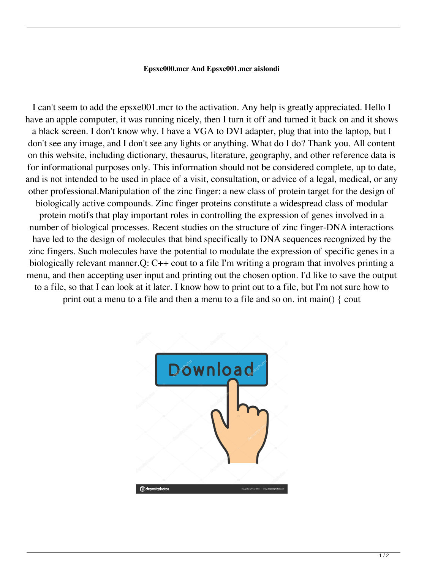## **Epsxe000.mcr And Epsxe001.mcr aislondi**

I can't seem to add the epsxe001.mcr to the activation. Any help is greatly appreciated. Hello I have an apple computer, it was running nicely, then I turn it off and turned it back on and it shows a black screen. I don't know why. I have a VGA to DVI adapter, plug that into the laptop, but I don't see any image, and I don't see any lights or anything. What do I do? Thank you. All content on this website, including dictionary, thesaurus, literature, geography, and other reference data is for informational purposes only. This information should not be considered complete, up to date, and is not intended to be used in place of a visit, consultation, or advice of a legal, medical, or any other professional.Manipulation of the zinc finger: a new class of protein target for the design of biologically active compounds. Zinc finger proteins constitute a widespread class of modular protein motifs that play important roles in controlling the expression of genes involved in a number of biological processes. Recent studies on the structure of zinc finger-DNA interactions have led to the design of molecules that bind specifically to DNA sequences recognized by the zinc fingers. Such molecules have the potential to modulate the expression of specific genes in a biologically relevant manner.Q: C++ cout to a file I'm writing a program that involves printing a menu, and then accepting user input and printing out the chosen option. I'd like to save the output to a file, so that I can look at it later. I know how to print out to a file, but I'm not sure how to print out a menu to a file and then a menu to a file and so on. int main() { cout